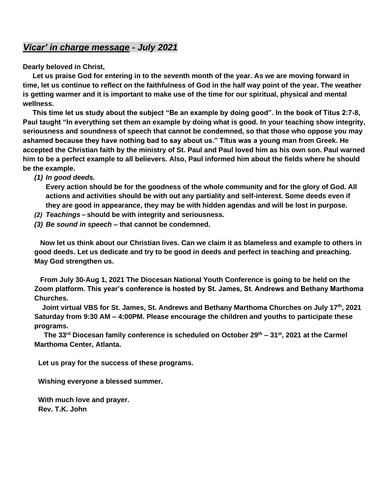### *Vicar' in charge message - July 2021*

**Dearly beloved in Christ,**

 **Let us praise God for entering in to the seventh month of the year. As we are moving forward in time, let us continue to reflect on the faithfulness of God in the half way point of the year. The weather is getting warmer and it is important to make use of the time for our spiritual, physical and mental wellness.**

 **This time let us study about the subject "Be an example by doing good". In the book of Titus 2:7-8,**  Paul taught "In everything set them an example by doing what is good. In your teaching show integrity, **seriousness and soundness of speech that cannot be condemned, so that those who oppose you may ashamed because they have nothing bad to say about us." Titus was a young man from Greek. He accepted the Christian faith by the ministry of St. Paul and Paul loved him as his own son. Paul warned him to be a perfect example to all believers. Also, Paul informed him about the fields where he should be the example.** 

*(1) In good deeds.* 

**Every action should be for the goodness of the whole community and for the glory of God. All actions and activities should be with out any partiality and self-interest. Some deeds even if they are good in appearance, they may be with hidden agendas and will be lost in purpose.** 

- *(2) Teachings* **– should be with integrity and seriousness.**
- *(3) Be sound in speech –* **that cannot be condemned.**

 **Now let us think about our Christian lives. Can we claim it as blameless and example to others in good deeds. Let us dedicate and try to be good in deeds and perfect in teaching and preaching. May God strengthen us.**

 **From July 30-Aug 1, 2021 The Diocesan National Youth Conference is going to be held on the Zoom platform. This year's conference is hosted by St. James, St. Andrews and Bethany Marthoma Churches.** 

 **Joint virtual VBS for St. James, St. Andrews and Bethany Marthoma Churches on July 17th, 2021 Saturday from 9:30 AM – 4:00PM. Please encourage the children and youths to participate these programs.** 

 **The 33rd Diocesan family conference is scheduled on October 29th – 31st, 2021 at the Carmel Marthoma Center, Atlanta.**

 **Let us pray for the success of these programs.** 

 **Wishing everyone a blessed summer.**

 **With much love and prayer. Rev. T.K. John**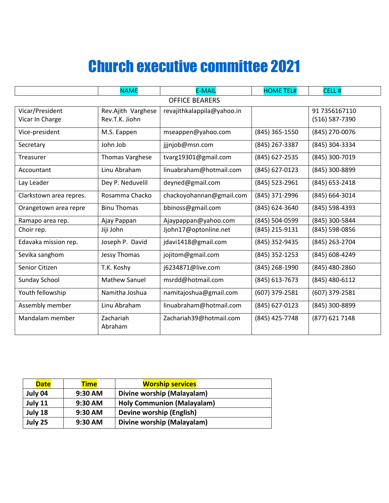# Church executive committee 2021

|                         | <b>NAME</b>            | <b>E-MAIL</b>              | <b>HOME TEL#</b> | CELL <sup>#</sup> |  |  |
|-------------------------|------------------------|----------------------------|------------------|-------------------|--|--|
| <b>OFFICE BEARERS</b>   |                        |                            |                  |                   |  |  |
| Vicar/President         | Rev.Ajith Varghese     | revajithkalappila@yahoo.in |                  | 91 7356167110     |  |  |
| Vicar In Charge         | Rev.T.K. Jiohn         |                            |                  | (516) 587-7390    |  |  |
| Vice-president          | M.S. Eappen            | mseappen@yahoo.com         | (845) 365-1550   | (845) 270-0076    |  |  |
| Secretary               | John Job               | jjjnjob@msn.com            | (845) 267-3387   | (845) 304-3334    |  |  |
| Treasurer               | <b>Thomas Varghese</b> | tvarg19301@gmail.com       | (845) 627-2535   | (845) 300-7019    |  |  |
| Accountant              | Linu Abraham           | linuabraham@hotmail.com    | (845) 627-0123   | (845) 300-8899    |  |  |
| Lay Leader              | Dey P. Neduvelil       | deyned@gmail.com           | (845) 523-2961   | (845) 653-2418    |  |  |
| Clarkstown area repres. | Rosamma Chacko         | chackoyohannan@gmail.com   | (845) 371-2996   | (845) 664-3014    |  |  |
| Orangetown area repre   | <b>Binu Thomas</b>     | bbinoss@gmail.com          | (845) 624-3640   | (845) 598-4393    |  |  |
| Ramapo area rep.        | Ajay Pappan            | Ajaypappan@yahoo.com       | (845) 504-0599   | (845) 300-5844    |  |  |
| Choir rep.              | Jiji John              | Jjohn17@optonline.net      | (845) 215-9131   | (845) 598-0856    |  |  |
| Edavaka mission rep.    | Joseph P. David        | jdavi1418@gmail.com        | (845) 352-9435   | (845) 263-2704    |  |  |
| Sevika sanghom          | <b>Jessy Thomas</b>    | jojitom@gmail.com          | (845) 352-1253   | (845) 608-4249    |  |  |
| Senior Citizen          | T.K. Koshy             | j6234871@live.com          | (845) 268-1990   | (845) 480-2860    |  |  |
| Sunday School           | <b>Mathew Sanuel</b>   | msrdd@hotmail.com          | (845) 613-7673   | (845) 480-6112    |  |  |
| Youth fellowship        | Namitha Joshua         | namitajoshua@gmail.com     | (607) 379-2581   | (607) 379-2581    |  |  |
| Assembly member         | Linu Abraham           | linuabraham@hotmail.com    | (845) 627-0123   | (845) 300-8899    |  |  |
| Mandalam member         | Zachariah<br>Abraham   | Zachariah39@hotmail.com    | (845) 425-7748   | (877) 621 7148    |  |  |

| <b>Date</b> | <b>Time</b> | <b>Worship services</b>           |  |
|-------------|-------------|-----------------------------------|--|
| July 04     | 9:30 AM     | Divine worship (Malayalam)        |  |
| July 11     | 9:30 AM     | <b>Holy Communion (Malayalam)</b> |  |
| July 18     | 9:30 AM     | Devine worship (English)          |  |
| July 25     | 9:30 AM     | Divine worship (Malayalam)        |  |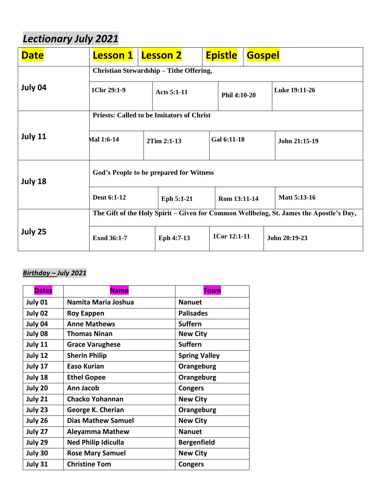## *Lectionary July 2021*

| <b>Date</b>                                        | <b>Lesson 1</b>                                                                        |  | <b>Lesson 2</b> |              | <b>Epistle</b> | <b>Gospel</b> |               |
|----------------------------------------------------|----------------------------------------------------------------------------------------|--|-----------------|--------------|----------------|---------------|---------------|
|                                                    | Christian Stewardship - Tithe Offering,                                                |  |                 |              |                |               |               |
| July 04                                            | 1Chr 29:1-9<br>Acts $5:1-11$                                                           |  |                 | Phil 4:10-20 |                | Luke 19:11-26 |               |
|                                                    | <b>Priests: Called to be Imitators of Christ</b>                                       |  |                 |              |                |               |               |
| July 11                                            | Mal 1:6-14                                                                             |  | 2Tim 2:1-13     |              | Gal 6:11-18    |               | John 21:15-19 |
| God's People to be prepared for Witness<br>July 18 |                                                                                        |  |                 |              |                |               |               |
|                                                    | Deut 6:1-12                                                                            |  | Eph 5:1-21      |              | Rom 13:11-14   |               | Matt 5:13-16  |
|                                                    | The Gift of the Holy Spirit – Given for Common Wellbeing, St. James the Apostle's Day, |  |                 |              |                |               |               |
| July 25                                            | Exod 36:1-7                                                                            |  | Eph 4:7-13      |              | 1Cor 12:1-11   |               | John 20:19-23 |

### *Birthday – July 2021*

| <b>Dates</b> | <b>Name</b>                | <b>Town</b>          |
|--------------|----------------------------|----------------------|
| July 01      | Namita Maria Joshua        | <b>Nanuet</b>        |
| July 02      | <b>Roy Eappen</b>          | <b>Palisades</b>     |
| July 04      | <b>Anne Mathews</b>        | <b>Suffern</b>       |
| July 08      | <b>Thomas Ninan</b>        | <b>New City</b>      |
| July 11      | <b>Grace Varughese</b>     | <b>Suffern</b>       |
| July 12      | <b>Sherin Philip</b>       | <b>Spring Valley</b> |
| July 17      | Easo Kurian                | Orangeburg           |
| July 18      | <b>Ethel Gopee</b>         | Orangeburg           |
| July 20      | Ann Jacob                  | <b>Congers</b>       |
| July 21      | <b>Chacko Yohannan</b>     | <b>New City</b>      |
| July 23      | George K. Cherian          | Orangeburg           |
| July 26      | <b>Dias Mathew Samuel</b>  | <b>New City</b>      |
| July 27      | <b>Aleyamma Mathew</b>     | <b>Nanuet</b>        |
| July 29      | <b>Ned Philip Idiculla</b> | <b>Bergenfield</b>   |
| July 30      | <b>Rose Mary Samuel</b>    | <b>New City</b>      |
| July 31      | <b>Christine Tom</b>       | <b>Congers</b>       |